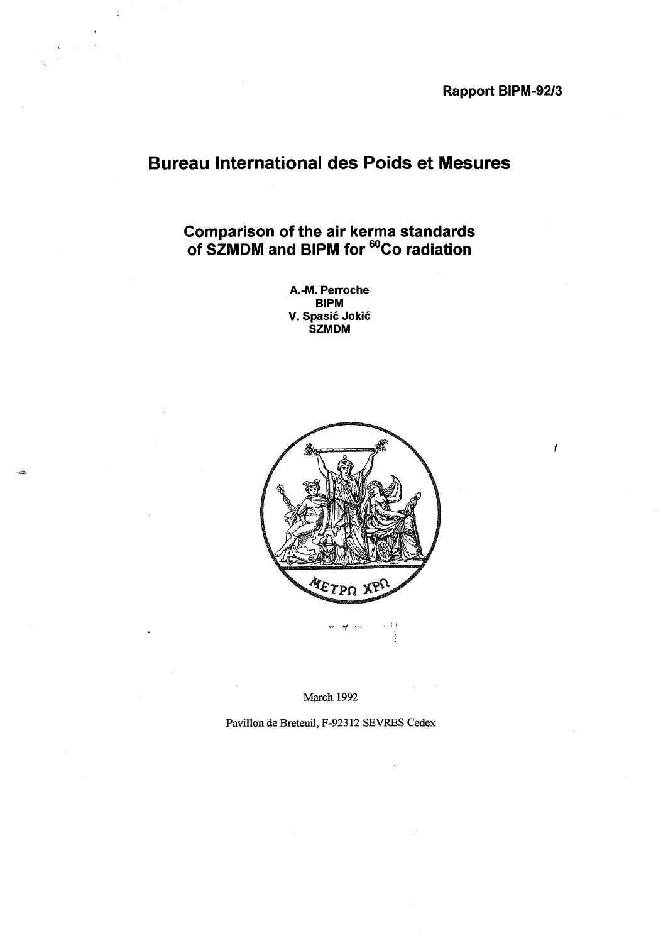Rapport BIPM-92/3

# Bureau International des Poids et Mesures

ċ

Comparison of the air kerma standards of SZMDM and BIPM for <sup>60</sup>Co radiation

> A.-M. Perroche BIPM V. Spasic Jokic SZMDM



March 1992

Pavillon de Breteuil, F-92312 SEVRES Cedex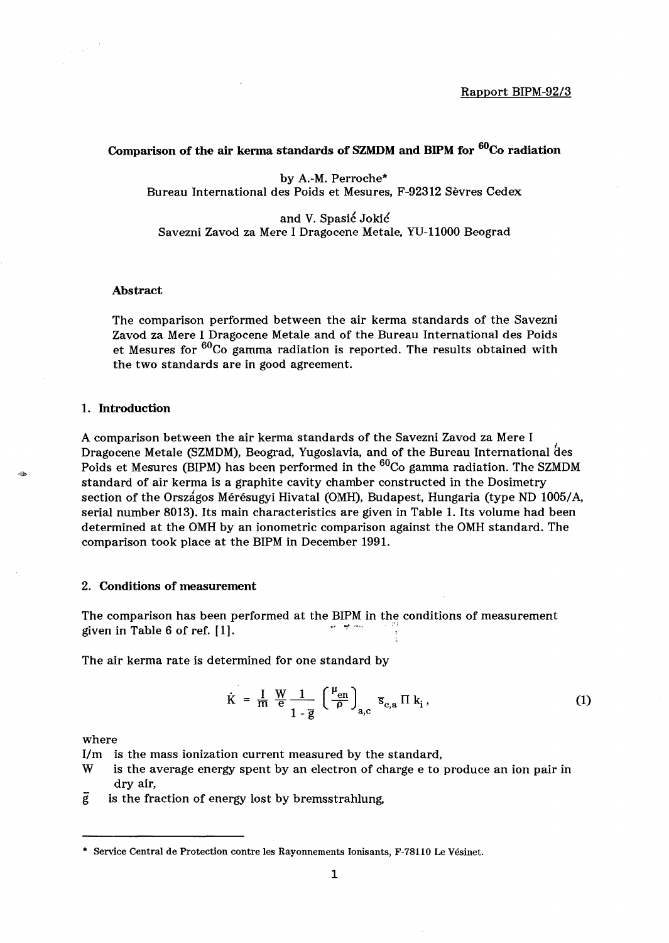## Comparison of the air kerma standards of SZMDM and BIPM for <sup>60</sup>Co radiation

by A.-M. Perroche\* Bureau International des Poids et Mesures, F-92312 Sevres Cedex

and V. Spasić Jokić Savezni Zavod za Mere I Dragocene Metale, YU-llOOO Beograd

#### Abstract

The comparison performed between the air kerma standards of the Savezni Zavod za Mere I Dragocene Metale and of the Bureau International des Poids et Mesures for <sup>60</sup>Co gamma radiation is reported. The results obtained with the two standards are in good agreement.

#### 1. Introduction

A comparison between the air kerma standards of the Savezni Zavod za Mere I Dragocene Metale (SZMDM), Beograd, Yugoslavia, and of the Bureau International des Poids et Mesures (BIPM) has been performed in the  $^{60}$ Co gamma radiation. The SZMDM standard of air kerma is a graphite cavity chamber constructed in the Dosimetry section of the Orszagos Meresugyi Hivatal (OMH), Budapest, Hungaria (type ND *10051* A, serial number 8013). Its main characteristics are given in Table 1. Its volume had been determined at the OMH by an ionometric comparison against the OMH standard. The comparison took place at the BIPM in December 1991.

### 2. Conditions of measurement

The comparison has been performed at the BIPM in the conditions of measurement given in Table 6 of ref.  $[1]$ .

The air kerma rate is determined for one standard by

$$
\dot{\mathbf{K}} = \frac{\mathbf{I}}{\mathbf{m}} \frac{\mathbf{W}}{\mathbf{e}} \frac{1}{1 - \overline{\mathbf{g}}} \left( \frac{\mu_{\text{en}}}{\rho} \right)_{\mathbf{a}, \mathbf{c}} \mathbf{s}_{\text{c}, \mathbf{a}} \Pi \mathbf{k}_{\mathbf{i}} \,, \tag{1}
$$

where

*Urn* is the mass ionization current measured by the standard,

- W is the average energy spent by an electron of charge e to produce an ion pair in dry air,
- $\overline{g}$  is the fraction of energy lost by bremsstrahlung,

<sup>•</sup> Service Central de Protection contre les Rayonnements Ionisants, F-78110 Le Vesinet.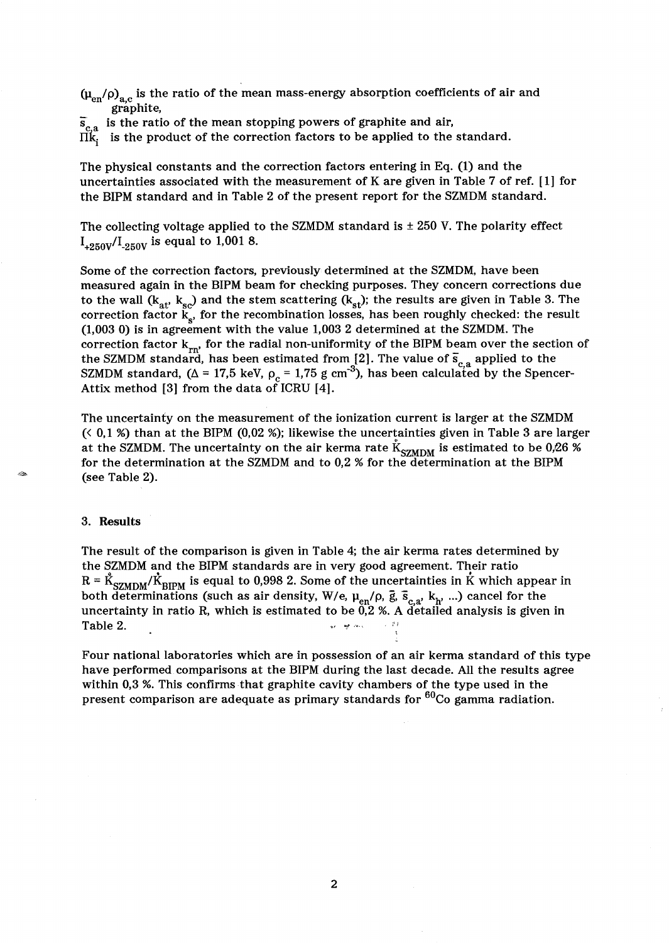$(\mu_{en}/\rho)_{a,c}$  is the ratio of the mean mass-energy absorption coefficients of air and graphite,

 $\overline{s}_{c,a}$  is the ratio of the mean stopping powers of graphite and air,

 $\vec{\Pi}^{\alpha}_{\mathbf{k}_i}$  is the product of the correction factors to be applied to the standard.

The physical constants and the correction factors entering in Eq. (1) and the uncertainties associated with the measurement of K are given in Table 7 of ref.  $[1]$  for the BIPM standard and in Table 2 of the present report for the SZMDM standard.

The collecting voltage applied to the SZMDM standard is  $\pm$  250 V. The polarity effect  $I_{+250V}/I_{-250V}$  is equal to 1,001 8.

Some of the correction factors, previously determined at the SZMDM, have been measured again in the BIPM beam for checking purposes. They concern corrections due to the wall ( $k_{at}$ ,  $k_{so}$ ) and the stem scattering ( $k_{st}$ ); the results are given in Table 3. The correction factor  $k_{s}$ , for the recombination losses, has been roughly checked: the result (1,003 0) is in agreement with the value 1,003 2 determined at the SZMDM. The correction factor  $k_{rn}$ , for the radial non-uniformity of the BIPM beam over the section of the SZMDM standard, has been estimated from [2]. The value of  $\bar{s}_{c,a}$  applied to the SZMDM standard, ( $\Delta = 17.5$  keV,  $\rho_c = 1.75$  g cm<sup>-3</sup>), has been calculated by the Spencer-Attix method [3] from the data of ICRU [4].

The uncertainty on the measurement of the ionization current is larger at the SZMDM  $($   $\leq$  0,1  $\%)$  than at the BIPM (0,02 %); likewise the uncertainties given in Table 3 are larger at the SZMDM. The uncertainty on the air kerma rate  $\rm{K}_{SZMDM}$  is estimated to be 0,26 % for the determination at the SZMDM and to 0,2 % for the determination at the BIPM (see Table 2).

#### 3. Results

The result of the comparison is given in Table 4; the air kerma rates determined by the SZMDM and the BIPM standards are in very good agreement. Their ratio  $R = \dot{K}_{\text{SZMDM}}/\dot{K}_{\text{RIPM}}$  is equal to 0,998 2. Some of the uncertainties in K which appear in both determinations (such as air density, W/e,  $\mu_{en}/\rho$ ,  $\bar{g}$ ,  $\bar{s}_{c,a}$ ,  $k_h$ , ...) cancel for the uncertainty in ratio R, which is estimated to be  $0.2$  %. A detailed analysis is given in Table 2.

Four national laboratories which are in possession of an air kerma standard of this type have performed comparisons at the BIPM during the last decade. All the results agree within 0,3 %. This confirms that graphite cavity chambers of the type used in the present comparison are adequate as primary standards for <sup>60</sup>Co gamma radiation.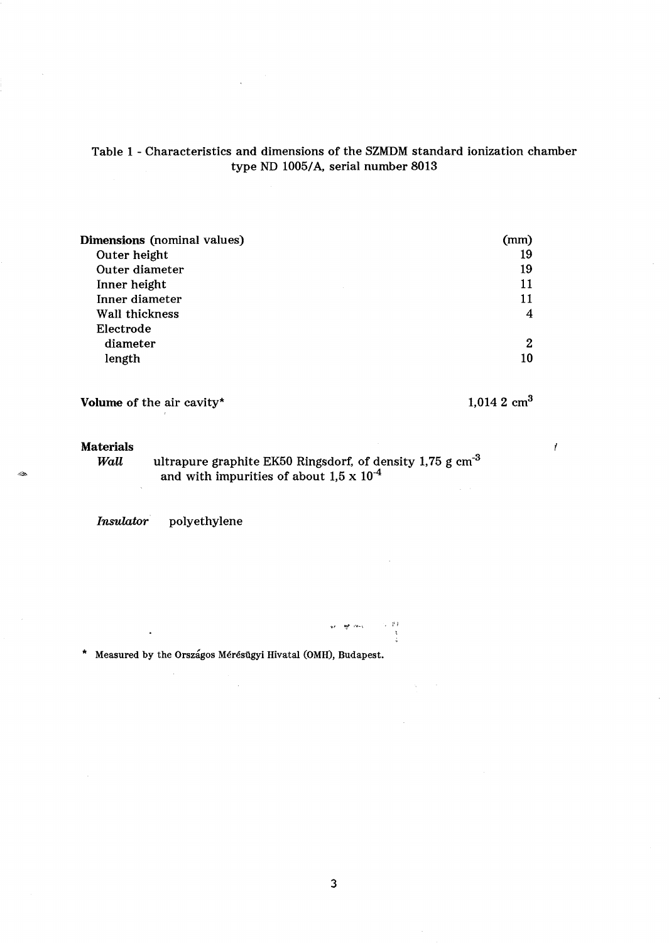# Table 1 - Characteristics and dimensions of the SZMDM standard ionization chamber type ND 1005/A, serial number 8013

 $\bar{\mathcal{A}}$ 

| Dimensions (nominal values) | (mm) |
|-----------------------------|------|
| Outer height                | 19   |
| Outer diameter              | 19   |
| Inner height                | 11   |
| Inner diameter              | 11   |
| Wall thickness              | 4    |
| Electrode                   |      |
| diameter                    | 2    |
| length                      | 10   |
|                             |      |

Volume of the air cavity\*  $1,014$  2 cm<sup>3</sup>

 $\mathcal{L}$ 

# Materials<br>Wall

يباذي

 $\bar{\beta}$ 

*Wall*  $\quad$  ultrapure graphite EK50 Ringsdorf, of density 1,75 g cm<sup>-3</sup> and with impurities of about  $1.5 \times 10^{-4}$ 

*Insulator* polyethylene

 $\sim$ 

\* Measured by the Orszagos Mérésügyi Hivatal (OMH), Budapest.

1999<br>|-<br>| 1999

so let may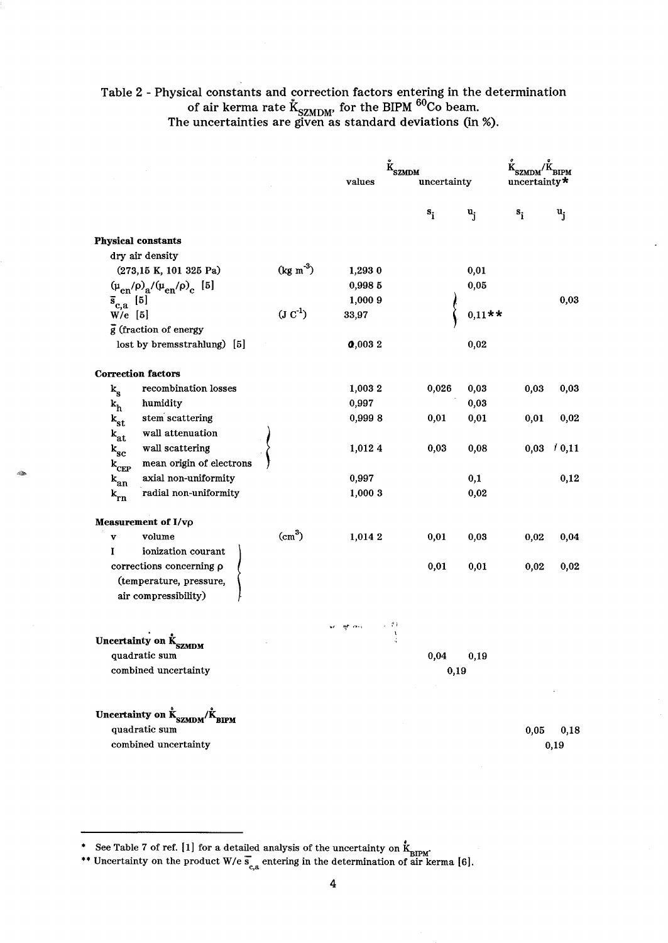# Table 2 - Physical constants and correction factors entering in the determination of air kerma rate K<sub>SZMDM</sub>, for the BIPM <sup>oo</sup>Co beam. The uncertainties are given as standard deviations (in %).

|                                                                                               |                    | values                  | <b>SZMDM</b><br>uncertainty |                | uncertainty $*$ |       |
|-----------------------------------------------------------------------------------------------|--------------------|-------------------------|-----------------------------|----------------|-----------------|-------|
|                                                                                               |                    |                         | $s_i$                       | $\mathbf{u}_i$ | $s_i$           | $u_i$ |
| <b>Physical constants</b>                                                                     |                    |                         |                             |                |                 |       |
| dry air density                                                                               |                    |                         |                             |                |                 |       |
| (273,15 K, 101 325 Pa)                                                                        | $(kg m-3)$         | 1,293 0                 |                             | 0,01           |                 |       |
| $(\mu_{en}/\rho)_{a}/(\mu_{en}/\rho)_{c}$ [5]                                                 |                    | 0,998 5                 |                             | 0,05           |                 |       |
| $\bar{s}_{c,a}$ [5]                                                                           |                    | 1,000 9                 |                             |                |                 | 0,03  |
| $W/e$ [5]                                                                                     | $(J C-1)$          | 33,97                   |                             | $0,11**$       |                 |       |
| $\bar{g}$ (fraction of energy                                                                 |                    |                         |                             |                |                 |       |
| lost by bremsstrahlung) [5]                                                                   |                    | 0,0032                  |                             | 0,02           |                 |       |
| <b>Correction factors</b>                                                                     |                    |                         |                             |                |                 |       |
| recombination losses<br>$k_{\rm g}$                                                           |                    | 1,0032                  | 0,026                       | 0,03           | 0,03            | 0,03  |
| humidity<br>$k_h$                                                                             |                    | 0,997                   |                             | 0,03           |                 |       |
| stem scattering<br>$\mathbf{k_{st}}$                                                          |                    | 0,9998                  | 0,01                        | 0,01           | 0,01            | 0,02  |
| wall attenuation<br>$\mathbf{k}_{\text{at}}$                                                  |                    |                         |                             |                |                 |       |
| wall scattering<br>$k_{\rm sc}$                                                               |                    | 1,012 4                 | 0,03                        | 0,08           | 0,03            | 10,11 |
| mean origin of electrons<br>$k_{CEP}$                                                         |                    |                         |                             |                |                 |       |
| axial non-uniformity<br>$k_{an}$                                                              |                    | 0,997                   |                             | 0,1            |                 | 0,12  |
| radial non-uniformity<br>$k_{rn}$                                                             |                    | 1,000 3                 |                             | 0,02           |                 |       |
| Measurement of I/vo                                                                           |                    |                         |                             |                |                 |       |
| volume<br>$\mathbf{v}$                                                                        | (cm <sup>3</sup> ) | 1,014 2                 | 0,01                        | 0,03           | 0,02            | 0,04  |
| ionization courant<br>I                                                                       |                    |                         |                             |                |                 |       |
| corrections concerning p                                                                      |                    |                         | 0,01                        | 0,01           | 0,02            | 0,02  |
| (temperature, pressure,<br>air compressibility)                                               |                    |                         |                             |                |                 |       |
|                                                                                               |                    | 2 P F<br><b>AP</b> Inch |                             |                |                 |       |
| Uncertainty on K <sub>SZMDM</sub>                                                             |                    |                         |                             |                |                 |       |
| quadratic sum                                                                                 |                    |                         | 0,04                        | 0,19           |                 |       |
| combined uncertainty                                                                          |                    |                         | 0,19                        |                |                 |       |
|                                                                                               |                    |                         |                             |                |                 |       |
| Uncertainty on $\mathring{\textbf{k}}_{\textbf{SZMDM}}/\mathring{\textbf{K}}_{\textbf{BIPM}}$ |                    |                         |                             |                |                 |       |
| quadratic sum                                                                                 |                    |                         |                             |                | 0,05            | 0,18  |
| combined uncertainty                                                                          |                    |                         |                             |                |                 | 0,19  |

<sup>•</sup> See Table 7 of ref. [1] for a detailed analysis of the uncertainty on  $\mathring{k}_{BIPM}$ .

<sup>\*\*</sup> Uncertainty on the product W/e  $\overline{s}_{c,a}$  entering in the determination of air kerma [6].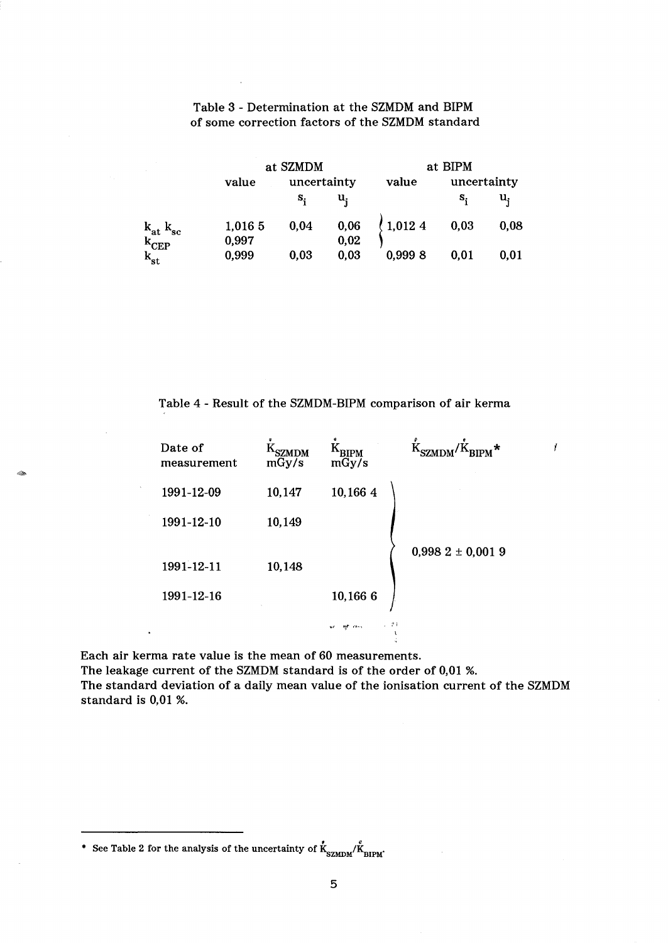|                                                                                                                                             | at SZMDM         |             |                  | at BIPM             |             |      |
|---------------------------------------------------------------------------------------------------------------------------------------------|------------------|-------------|------------------|---------------------|-------------|------|
|                                                                                                                                             | value            | uncertainty |                  | value               | uncertainty |      |
|                                                                                                                                             |                  | s,          | u,               |                     | s,          | u,   |
| $\begin{array}{l} \mathbf{k}_{\mathbf{at}} \ \mathbf{k}_{\mathbf{sc}} \\ \mathbf{k}_{\mathbf{CEP}} \\ \mathbf{k}_{\mathbf{st}} \end{array}$ | 1,016 5<br>0,997 | 0,04        | $0,06$<br>$0,02$ | $\frac{1}{2}1,0124$ | 0,03        | 0,08 |
|                                                                                                                                             | 0,999            | 0,03        | 0,03             | 0,9998              | 0,01        | 0,01 |

# Table 3 - Determination at the SZMDM and BIPM of some correction factors of the SZMDM standard

Table 4 - Result of the SZMDM-BIPM comparison of air kerma

| Date of<br>measurement | <b>SZMDM</b><br>mGy/s | $\rm K_{\rm BIPM}$<br>mGy/s | $K_{\text{SZMDM}}/\dot{K}_{\text{RIPM}}$ * |
|------------------------|-----------------------|-----------------------------|--------------------------------------------|
| 1991-12-09             | 10,147                | 10,166 4                    |                                            |
| 1991-12-10             | 10,149                |                             |                                            |
| 1991-12-11             | 10,148                |                             | $0,9982 \pm 0,0019$                        |
| 1991-12-16             |                       | 10,166 6                    |                                            |
|                        |                       | 上学者<br>exer.<br>w           |                                            |

 $\mathbf{r}$ 

Each air kerma rate value is the mean of 60 measurements. The leakage current of the SZMDM standard is of the order of 0,01 %. The standard deviation of a daily mean value of the ionisation current of the SZMDM standard is  $0.01$  %.

 $\ddot{\phantom{a}}$ 

-

<sup>\*</sup> See Table 2 for the analysis of the uncertainty of  $\dot{K}_{\text{SZMDM}}/\dot{K}_{\text{BIPM}}$ .